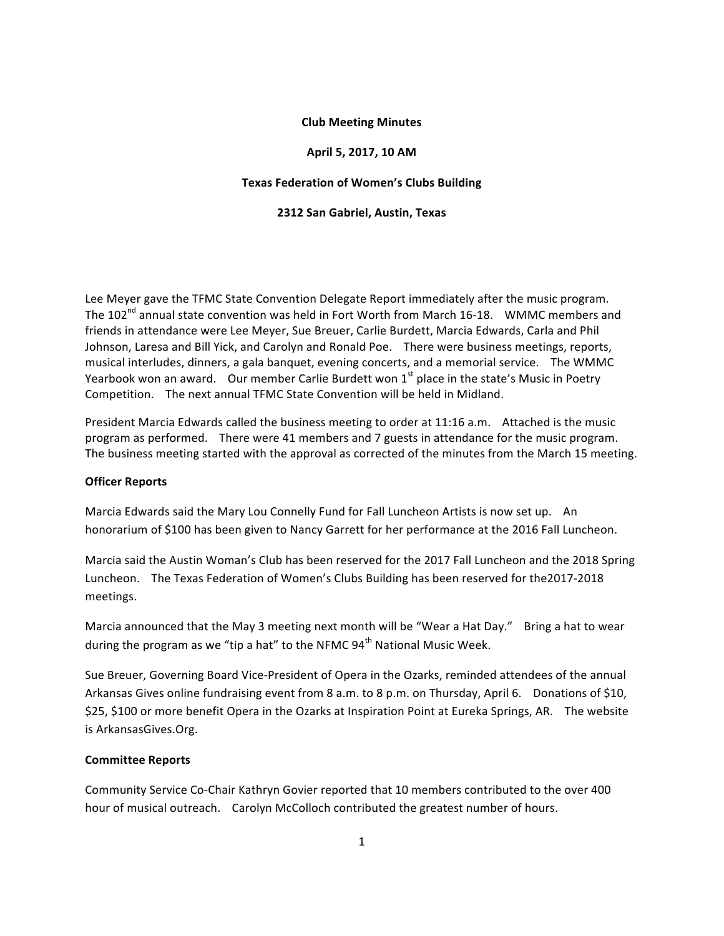## **Club%Meeting%Minutes**

### **April 5,%2017,%10%AM**

#### **Texas Federation of Women's Clubs Building**

#### **2312 San%Gabriel,%Austin,%Texas**

Lee Meyer gave the TFMC State Convention Delegate Report immediately after the music program. The 102<sup>nd</sup> annual state convention was held in Fort Worth from March 16-18. WMMC members and friends in attendance were Lee Meyer, Sue Breuer, Carlie Burdett, Marcia Edwards, Carla and Phil Johnson, Laresa and Bill Yick, and Carolyn and Ronald Poe. There were business meetings, reports, musical interludes, dinners, a gala banquet, evening concerts, and a memorial service. The WMMC Yearbook"won"an"award." " Our"member"Carlie"Burdett"won"1st place"in"the"state's"Music"in"Poetry" Competition. The next annual TFMC State Convention will be held in Midland.

President Marcia Edwards called the business meeting to order at 11:16 a.m. Attached is the music program as performed. There were 41 members and 7 guests in attendance for the music program. The business meeting started with the approval as corrected of the minutes from the March 15 meeting.

#### **Officer Reports**

Marcia Edwards said the Mary Lou Connelly Fund for Fall Luncheon Artists is now set up. An honorarium of \$100 has been given to Nancy Garrett for her performance at the 2016 Fall Luncheon.

Marcia said the Austin Woman's Club has been reserved for the 2017 Fall Luncheon and the 2018 Spring Luncheon. The Texas Federation of Women's Clubs Building has been reserved for the2017-2018 meetings.

Marcia announced that the May 3 meeting next month will be "Wear a Hat Day." Bring a hat to wear during the program as we "tip a hat" to the NFMC 94<sup>th</sup> National Music Week.

Sue Breuer, Governing Board Vice-President of Opera in the Ozarks, reminded attendees of the annual Arkansas Gives online fundraising event from 8 a.m. to 8 p.m. on Thursday, April 6. Donations of \$10, \$25, \$100 or more benefit Opera in the Ozarks at Inspiration Point at Eureka Springs, AR. The website is ArkansasGives.Org.

## **Committee%Reports**

Community Service Co-Chair Kathryn Govier reported that 10 members contributed to the over 400 hour of musical outreach. Carolyn McColloch contributed the greatest number of hours.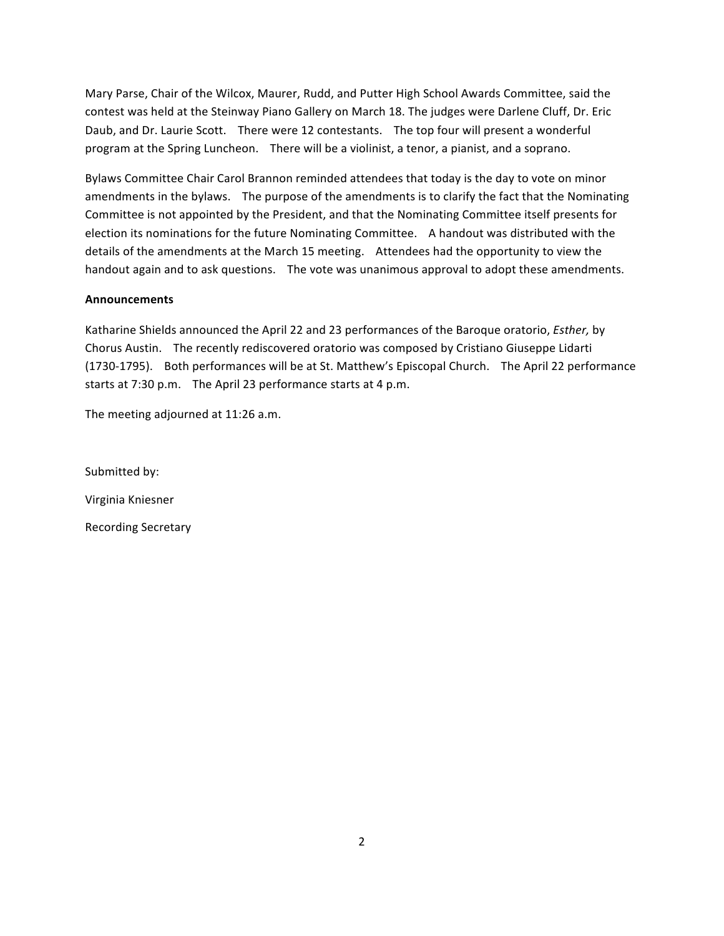Mary Parse, Chair of the Wilcox, Maurer, Rudd, and Putter High School Awards Committee, said the contest was held at the Steinway Piano Gallery on March 18. The judges were Darlene Cluff, Dr. Eric Daub, and Dr. Laurie Scott. There were 12 contestants. The top four will present a wonderful program at the Spring Luncheon. There will be a violinist, a tenor, a pianist, and a soprano.

Bylaws Committee Chair Carol Brannon reminded attendees that today is the day to vote on minor amendments in the bylaws. The purpose of the amendments is to clarify the fact that the Nominating Committee is not appointed by the President, and that the Nominating Committee itself presents for election its nominations for the future Nominating Committee. A handout was distributed with the details of the amendments at the March 15 meeting. Attendees had the opportunity to view the handout again and to ask questions. The vote was unanimous approval to adopt these amendments.

## **Announcements**

Katharine Shields announced the April 22 and 23 performances of the Baroque oratorio, *Esther*, by Chorus Austin. The recently rediscovered oratorio was composed by Cristiano Giuseppe Lidarti (1730-1795). Both performances will be at St. Matthew's Episcopal Church. The April 22 performance starts at 7:30 p.m. The April 23 performance starts at 4 p.m.

The meeting adjourned at 11:26 a.m.

Submitted by: Virginia Kniesner Recording Secretary